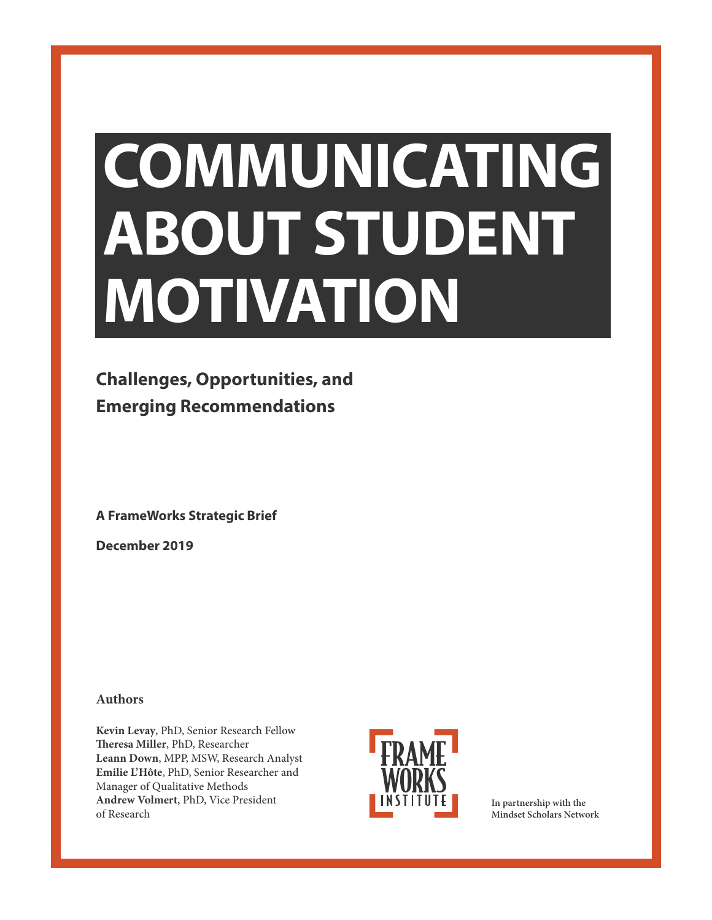# **COMMUNICATING ABOUT STUDENT MOTIVATION**

# **Challenges, Opportunities, and Emerging Recommendations**

**A FrameWorks Strategic Brief**

**December 2019**

### **Authors**

**Kevin Levay**, PhD, Senior Research Fellow **Theresa Miller**, PhD, Researcher **Leann Down**, MPP, MSW, Research Analyst **Emilie L'Hôte**, PhD, Senior Researcher and Manager of Qualitative Methods **Andrew Volmert**, PhD, Vice President of Research



**In partnership with the Mindset Scholars Network**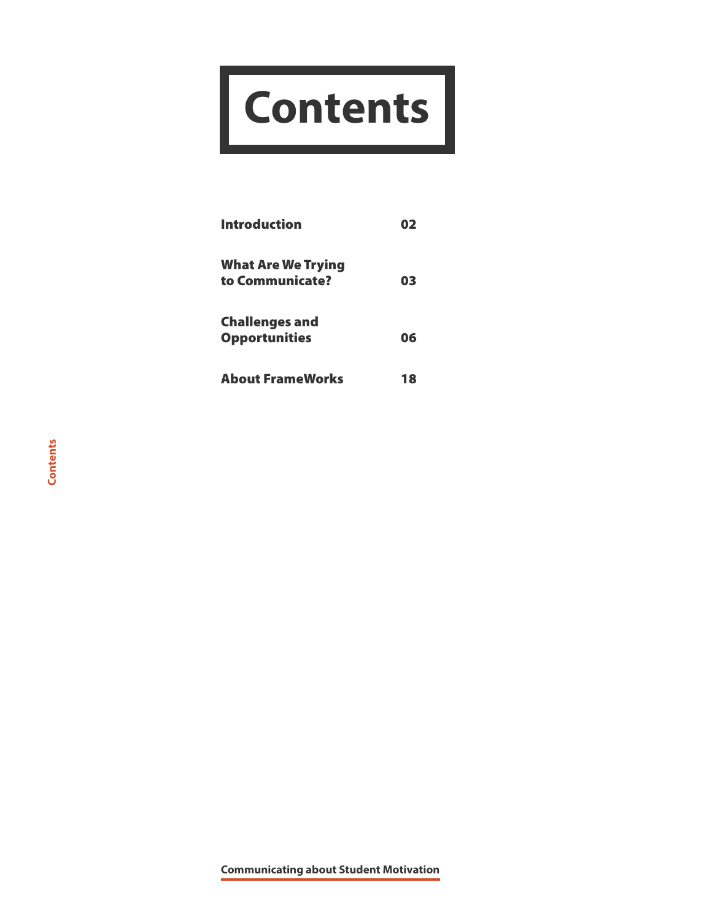# **Contents**

| <b>Introduction</b>                           | 02 |
|-----------------------------------------------|----|
| <b>What Are We Trying</b><br>to Communicate?  | 03 |
| <b>Challenges and</b><br><b>Opportunities</b> | 06 |
| <b>About FrameWorks</b>                       | 18 |

**Communicating about Student Motivation**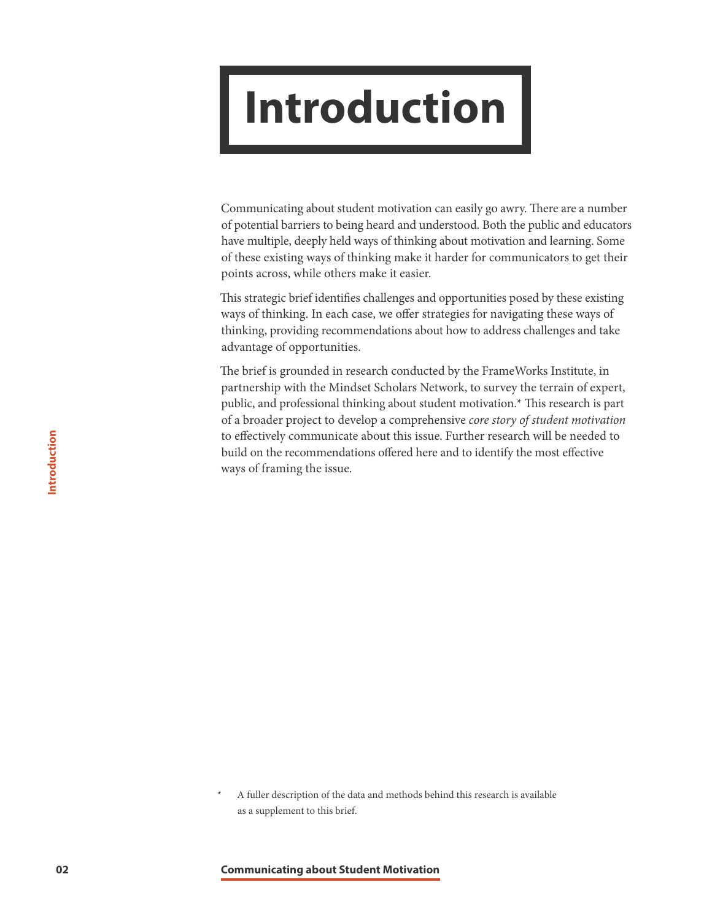# <span id="page-2-0"></span>**Introduction**

Communicating about student motivation can easily go awry. There are a number of potential barriers to being heard and understood. Both the public and educators have multiple, deeply held ways of thinking about motivation and learning. Some of these existing ways of thinking make it harder for communicators to get their points across, while others make it easier.

This strategic brief identifies challenges and opportunities posed by these existing ways of thinking. In each case, we offer strategies for navigating these ways of thinking, providing recommendations about how to address challenges and take advantage of opportunities.

The brief is grounded in research conducted by the FrameWorks Institute, in partnership with the Mindset Scholars Network, to survey the terrain of expert, public, and professional thinking about student motivation.\* This research is part of a broader project to develop a comprehensive *core story of student motivation* to effectively communicate about this issue. Further research will be needed to build on the recommendations offered here and to identify the most effective ways of framing the issue.

A fuller description of the data and methods behind this research is available as a supplement to this brief.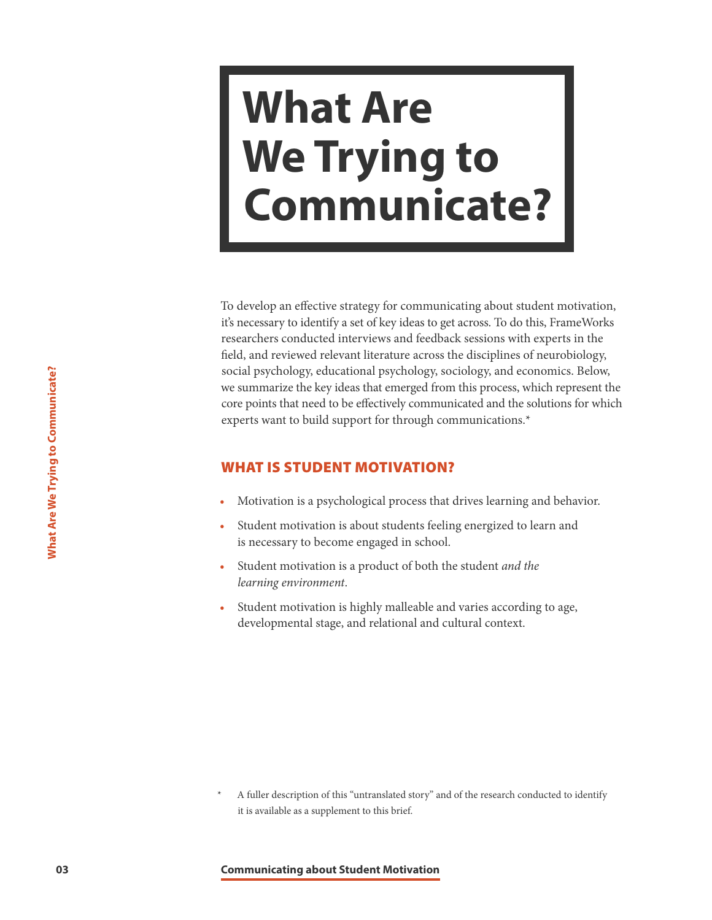# <span id="page-3-0"></span>**What Are We Trying to Communicate?**

**Example 123 Communicate the key ideas that energed from experiments the key ideas that energed from experts want to build support for through comments when the student motivation is a psychological process the Student** To develop an effective strategy for communicating about student motivation, it's necessary to identify a set of key ideas to get across. To do this, FrameWorks researchers conducted interviews and feedback sessions with experts in the field, and reviewed relevant literature across the disciplines of neurobiology, social psychology, educational psychology, sociology, and economics. Below, we summarize the key ideas that emerged from this process, which represent the core points that need to be effectively communicated and the solutions for which experts want to build support for through communications.\*

# WHAT IS STUDENT MOTIVATION?

- Motivation is a psychological process that drives learning and behavior.
- Student motivation is about students feeling energized to learn and is necessary to become engaged in school.
- Student motivation is a product of both the student *and the learning environment*.
- Student motivation is highly malleable and varies according to age, developmental stage, and relational and cultural context.

A fuller description of this "untranslated story" and of the research conducted to identify it is available as a supplement to this brief.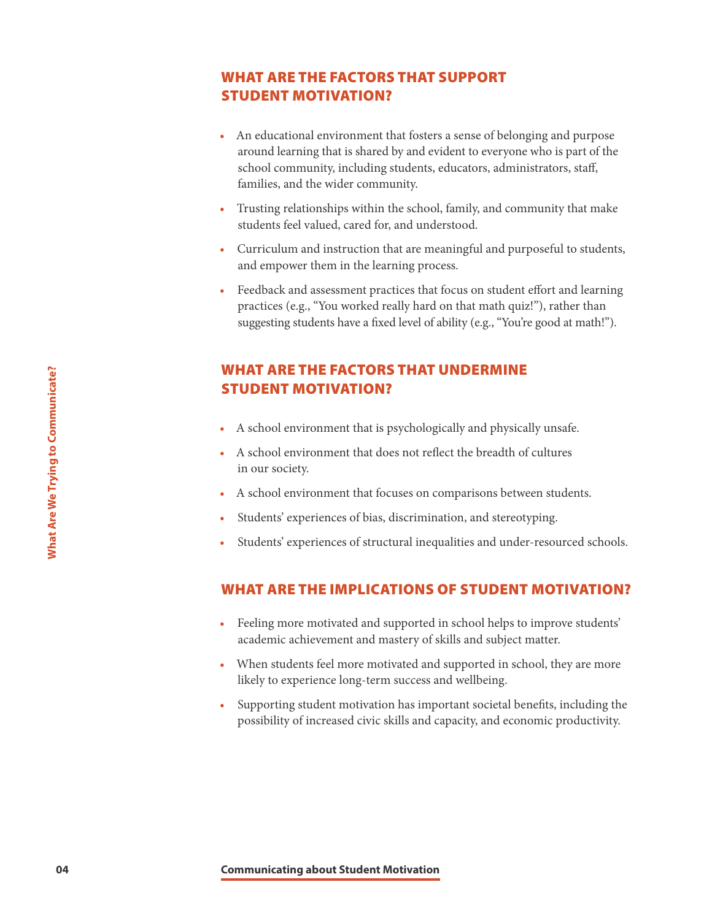# WHAT ARE THE FACTORS THAT SUPPORT STUDENT MOTIVATION?

- An educational environment that fosters a sense of belonging and purpose around learning that is shared by and evident to everyone who is part of the school community, including students, educators, administrators, staff, families, and the wider community.
- Trusting relationships within the school, family, and community that make students feel valued, cared for, and understood.
- Curriculum and instruction that are meaningful and purposeful to students, and empower them in the learning process.
- Feedback and assessment practices that focus on student effort and learning practices (e.g., "You worked really hard on that math quiz!"), rather than suggesting students have a fixed level of ability (e.g., "You're good at math!").

# **EXECTIVE THE FACTORS THAT**<br> **COMPUNIT MOTIVATION?**<br>
• A school environment that is psycholog<br>
• A school environment that does not ref<br>
in our society.<br>
• A school environment that focuses on communicates<br>
• Students' exp WHAT ARE THE FACTORS THAT UNDERMINE STUDENT MOTIVATION?

- A school environment that is psychologically and physically unsafe.
- A school environment that does not reflect the breadth of cultures in our society.
- A school environment that focuses on comparisons between students.
- Students' experiences of bias, discrimination, and stereotyping.
- Students' experiences of structural inequalities and under-resourced schools.

## WHAT ARE THE IMPLICATIONS OF STUDENT MOTIVATION?

- Feeling more motivated and supported in school helps to improve students' academic achievement and mastery of skills and subject matter.
- When students feel more motivated and supported in school, they are more likely to experience long-term success and wellbeing.
- Supporting student motivation has important societal benefits, including the possibility of increased civic skills and capacity, and economic productivity.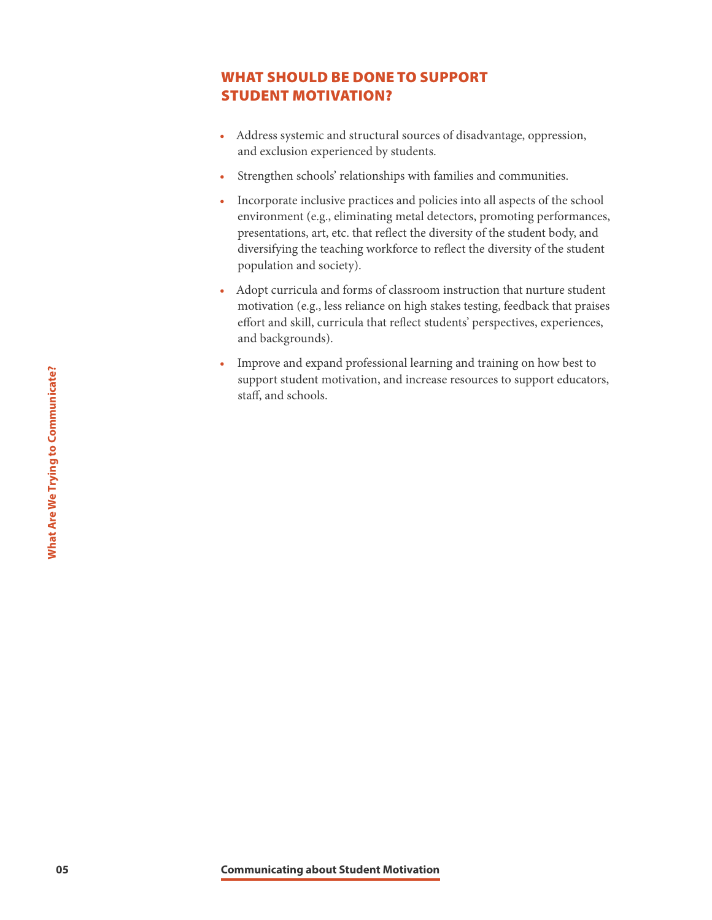# WHAT SHOULD BE DONE TO SUPPORT STUDENT MOTIVATION?

- Address systemic and structural sources of disadvantage, oppression, and exclusion experienced by students.
- Strengthen schools' relationships with families and communities.
- Incorporate inclusive practices and policies into all aspects of the school environment (e.g., eliminating metal detectors, promoting performances, presentations, art, etc. that reflect the diversity of the student body, and diversifying the teaching workforce to reflect the diversity of the student population and society).
- Adopt curricula and forms of classroom instruction that nurture student motivation (e.g., less reliance on high stakes testing, feedback that praises effort and skill, curricula that reflect students' perspectives, experiences, and backgrounds).
- **05 Communicating about Student Motivation**<br> **05 Communicating about Student Motivation**<br> **05 Communicating about Student Motivation**<br> **05** • Improve and expand professional learning and training on how best to support student motivation, and increase resources to support educators, staff, and schools.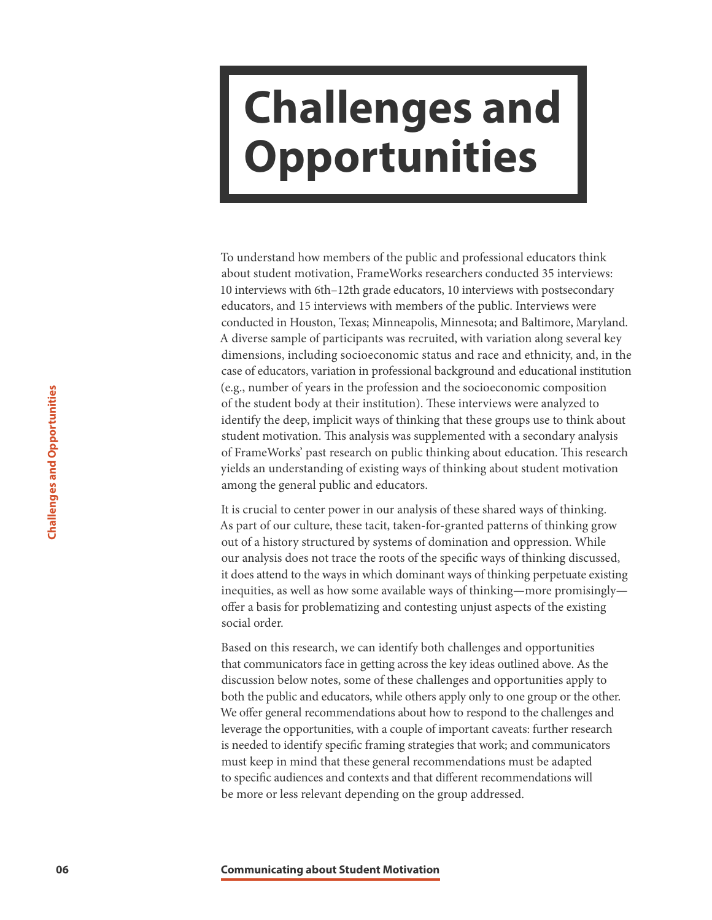# <span id="page-6-0"></span>**Challenges and Opportunities**

To understand how members of the public and professional educators think about student motivation, FrameWorks researchers conducted 35 interviews: 10 interviews with 6th–12th grade educators, 10 interviews with postsecondary educators, and 15 interviews with members of the public. Interviews were conducted in Houston, Texas; Minneapolis, Minnesota; and Baltimore, Maryland. A diverse sample of participants was recruited, with variation along several key dimensions, including socioeconomic status and race and ethnicity, and, in the case of educators, variation in professional background and educational institution (e.g., number of years in the profession and the socioeconomic composition of the student body at their institution). These interviews were analyzed to identify the deep, implicit ways of thinking that these groups use to think about student motivation. This analysis was supplemented with a secondary analysis of FrameWorks' past research on public thinking about education. This research yields an understanding of existing ways of thinking about student motivation among the general public and educators.

It is crucial to center power in our analysis of these shared ways of thinking. As part of our culture, these tacit, taken-for-granted patterns of thinking grow out of a history structured by systems of domination and oppression. While our analysis does not trace the roots of the specific ways of thinking discussed, it does attend to the ways in which dominant ways of thinking perpetuate existing inequities, as well as how some available ways of thinking—more promisingly offer a basis for problematizing and contesting unjust aspects of the existing social order.

**1987** of the student Motion. This analysis was supported for the student hotivation. This analysis was supported for FrameWorks past research on public this predict motivation. This analysis of FrameWorks' past research o Based on this research, we can identify both challenges and opportunities that communicators face in getting across the key ideas outlined above. As the discussion below notes, some of these challenges and opportunities apply to both the public and educators, while others apply only to one group or the other. We offer general recommendations about how to respond to the challenges and leverage the opportunities, with a couple of important caveats: further research is needed to identify specific framing strategies that work; and communicators must keep in mind that these general recommendations must be adapted to specific audiences and contexts and that different recommendations will be more or less relevant depending on the group addressed.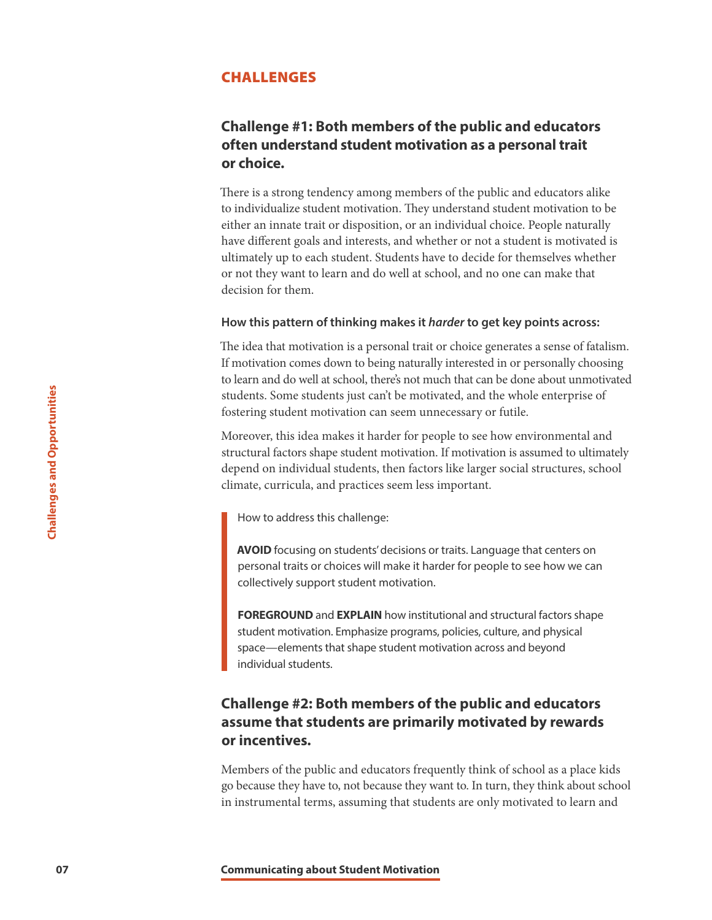## CHALLENGES

## **Challenge #1: Both members of the public and educators often understand student motivation as a personal trait or choice.**

There is a strong tendency among members of the public and educators alike to individualize student motivation. They understand student motivation to be either an innate trait or disposition, or an individual choice. People naturally have different goals and interests, and whether or not a student is motivated is ultimately up to each student. Students have to decide for themselves whether or not they want to learn and do well at school, and no one can make that decision for them.

#### **How this pattern of thinking makes it** *harder* **to get key points across:**

The idea that motivation is a personal trait or choice generates a sense of fatalism. If motivation comes down to being naturally interested in or personally choosing to learn and do well at school, there's not much that can be done about unmotivated students. Some students just can't be motivated, and the whole enterprise of fostering student motivation can seem unnecessary or futile.

**Example 12 Constrained Students** is used and the motiv footering student motivation can seem unm<br>
Moreover, this lice a makes it thardrefore proportional depend on individual students, then factore<br>
climate, curricula, Moreover, this idea makes it harder for people to see how environmental and structural factors shape student motivation. If motivation is assumed to ultimately depend on individual students, then factors like larger social structures, school climate, curricula, and practices seem less important.

How to address this challenge:

**AVOID** focusing on students' decisions or traits. Language that centers on personal traits or choices will make it harder for people to see how we can collectively support student motivation.

**FOREGROUND** and **EXPLAIN** how institutional and structural factors shape student motivation. Emphasize programs, policies, culture, and physical space—elements that shape student motivation across and beyond individual students.

# **Challenge #2: Both members of the public and educators assume that students are primarily motivated by rewards or incentives.**

Members of the public and educators frequently think of school as a place kids go because they have to, not because they want to. In turn, they think about school in instrumental terms, assuming that students are only motivated to learn and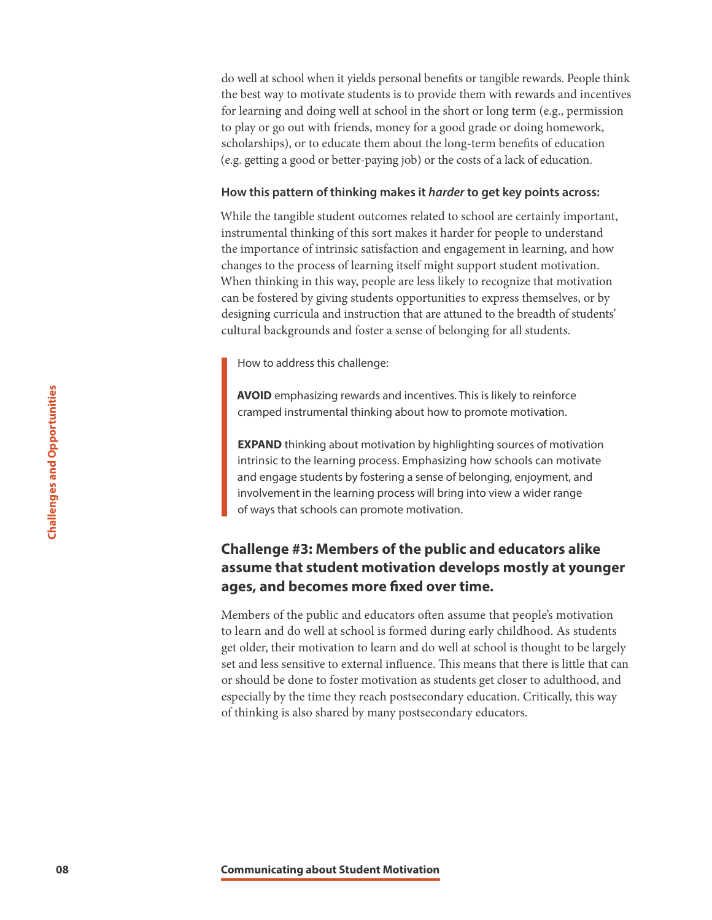do well at school when it yields personal benefits or tangible rewards. People think the best way to motivate students is to provide them with rewards and incentives for learning and doing well at school in the short or long term (e.g., permission to play or go out with friends, money for a good grade or doing homework, scholarships), or to educate them about the long-term benefits of education (e.g. getting a good or better-paying job) or the costs of a lack of education.

#### **How this pattern of thinking makes it** *harder* **to get key points across:**

While the tangible student outcomes related to school are certainly important, instrumental thinking of this sort makes it harder for people to understand the importance of intrinsic satisfaction and engagement in learning, and how changes to the process of learning itself might support student motivation. When thinking in this way, people are less likely to recognize that motivation can be fostered by giving students opportunities to express themselves, or by designing curricula and instruction that are attuned to the breadth of students' cultural backgrounds and foster a sense of belonging for all students.

How to address this challenge:

**AVOID** emphasizing rewards and incentives. This is likely to reinforce cramped instrumental thinking about how to promote motivation.

**EXPAND** thinking about motivation by highlighting sources of motivation intrinsic to the learning process. Emphasizing how schools can motivate and engage students by fostering a sense of belonging, enjoyment, and involvement in the learning process will bring into view a wider range of ways that schools can promote motivation.

# **Challenge #3: Members of the public and educators alike assume that student motivation develops mostly at younger ages, and becomes more fixed over time.**

**EXPERIMD** emphasizing rewards and incentional transmised instrumental thinking about noise of the examing process. Emphasional engage students by other in a server and engage students in the learning process will in of wa Members of the public and educators often assume that people's motivation to learn and do well at school is formed during early childhood. As students get older, their motivation to learn and do well at school is thought to be largely set and less sensitive to external influence. This means that there is little that can or should be done to foster motivation as students get closer to adulthood, and especially by the time they reach postsecondary education. Critically, this way of thinking is also shared by many postsecondary educators.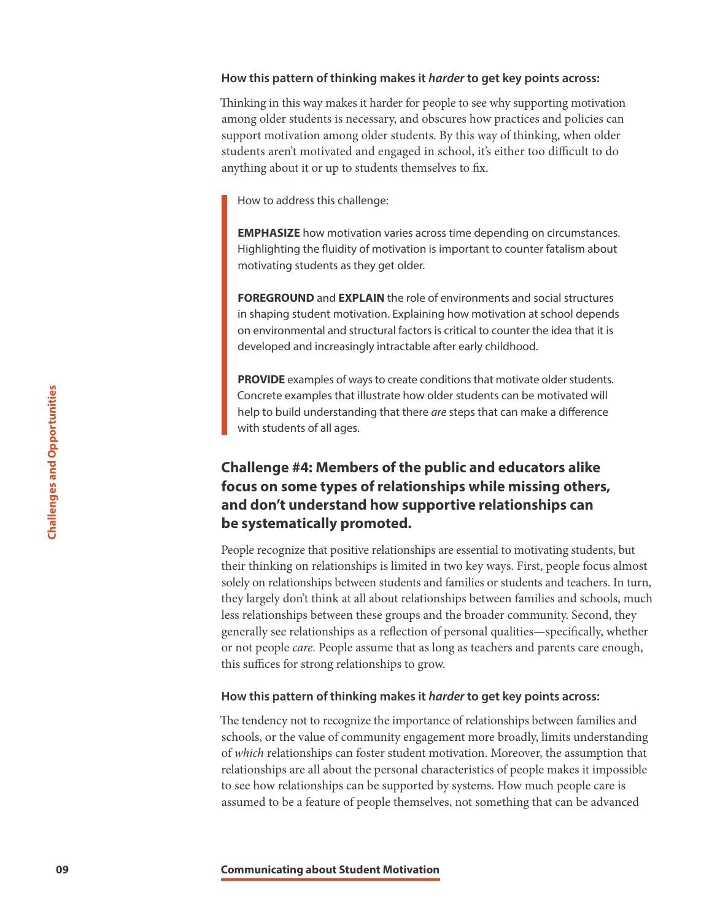#### **How this pattern of thinking makes it** *harder* **to get key points across:**

Thinking in this way makes it harder for people to see why supporting motivation among older students is necessary, and obscures how practices and policies can support motivation among older students. By this way of thinking, when older students aren't motivated and engaged in school, it's either too difficult to do anything about it or up to students themselves to fix.

How to address this challenge:

**EMPHASIZE** how motivation varies across time depending on circumstances. Highlighting the fluidity of motivation is important to counter fatalism about motivating students as they get older.

**FOREGROUND** and **EXPLAIN** the role of environments and social structures in shaping student motivation. Explaining how motivation at school depends on environmental and structural factors is critical to counter the idea that it is developed and increasingly intractable after early childhood.

**PROVIDE** examples of ways to create conditions that motivate older students. Concrete examples that illustrate how older students can be motivated will help to build understanding that there *are* steps that can make a difference with students of all ages.

# **Challenge #4: Members of the public and educators alike focus on some types of relationships while missing others, and don't understand how supportive relationships can be systematically promoted.**

Concrete examples that illustrate how older the bublid understanding that there are with students of all ages.<br> **Challenge #4: Members of the pu**<br> **Cocus on some types of relations and don't understand how support be syste** People recognize that positive relationships are essential to motivating students, but their thinking on relationships is limited in two key ways. First, people focus almost solely on relationships between students and families or students and teachers. In turn, they largely don't think at all about relationships between families and schools, much less relationships between these groups and the broader community. Second, they generally see relationships as a reflection of personal qualities—specifically, whether or not people *care.* People assume that as long as teachers and parents care enough, this suffices for strong relationships to grow.

#### **How this pattern of thinking makes it** *harder* **to get key points across:**

The tendency not to recognize the importance of relationships between families and schools, or the value of community engagement more broadly, limits understanding of *which* relationships can foster student motivation. Moreover, the assumption that relationships are all about the personal characteristics of people makes it impossible to see how relationships can be supported by systems. How much people care is assumed to be a feature of people themselves, not something that can be advanced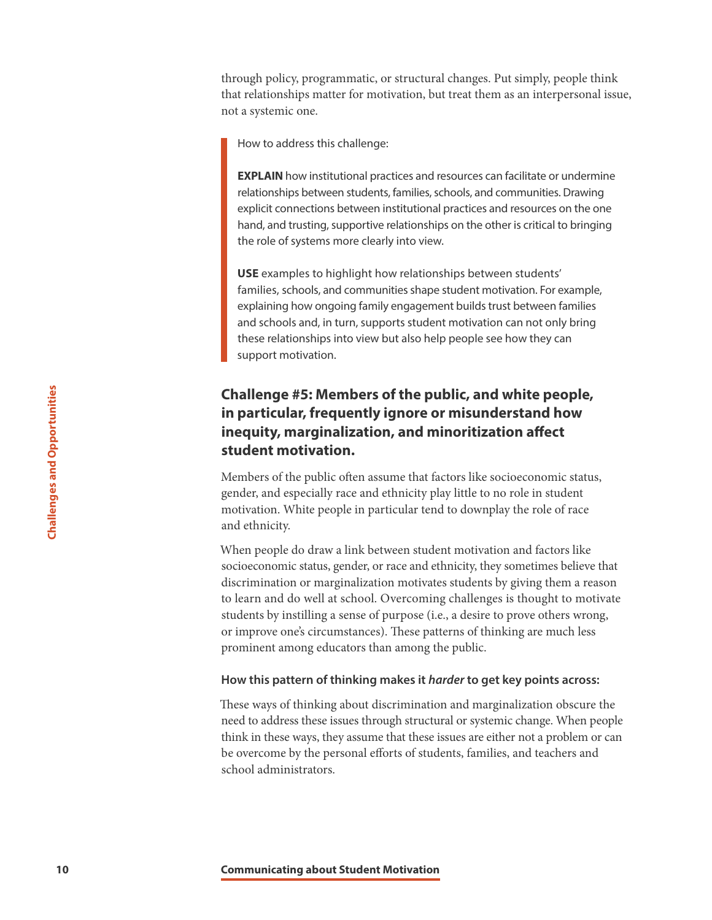through policy, programmatic, or structural changes. Put simply, people think that relationships matter for motivation, but treat them as an interpersonal issue, not a systemic one.

How to address this challenge:

**EXPLAIN** how institutional practices and resources can facilitate or undermine relationships between students, families, schools, and communities. Drawing explicit connections between institutional practices and resources on the one hand, and trusting, supportive relationships on the other is critical to bringing the role of systems more clearly into view.

**USE** examples to highlight how relationships between students' families, schools, and communities shape student motivation. For example, explaining how ongoing family engagement builds trust between families and schools and, in turn, supports student motivation can not only bring these relationships into view but also help people see how they can support motivation.

# **Challenge #5: Members of the public, and white people, in particular, frequently ignore or misunderstand how inequity, marginalization, and minoritization affect student motivation.**

Members of the public often assume that factors like socioeconomic status, gender, and especially race and ethnicity play little to no role in student motivation. White people in particular tend to downplay the role of race and ethnicity.

**10 10 Challenge #5: Members of the purintual and interactivy, marginalization, and m student motivation.<br>
<b>10 10 Explicing morpinalization, and m student motivation.**<br>
Members of the public often assume that fa<br>
g When people do draw a link between student motivation and factors like socioeconomic status, gender, or race and ethnicity, they sometimes believe that discrimination or marginalization motivates students by giving them a reason to learn and do well at school. Overcoming challenges is thought to motivate students by instilling a sense of purpose (i.e., a desire to prove others wrong, or improve one's circumstances). These patterns of thinking are much less prominent among educators than among the public.

#### **How this pattern of thinking makes it** *harder* **to get key points across:**

These ways of thinking about discrimination and marginalization obscure the need to address these issues through structural or systemic change. When people think in these ways, they assume that these issues are either not a problem or can be overcome by the personal efforts of students, families, and teachers and school administrators.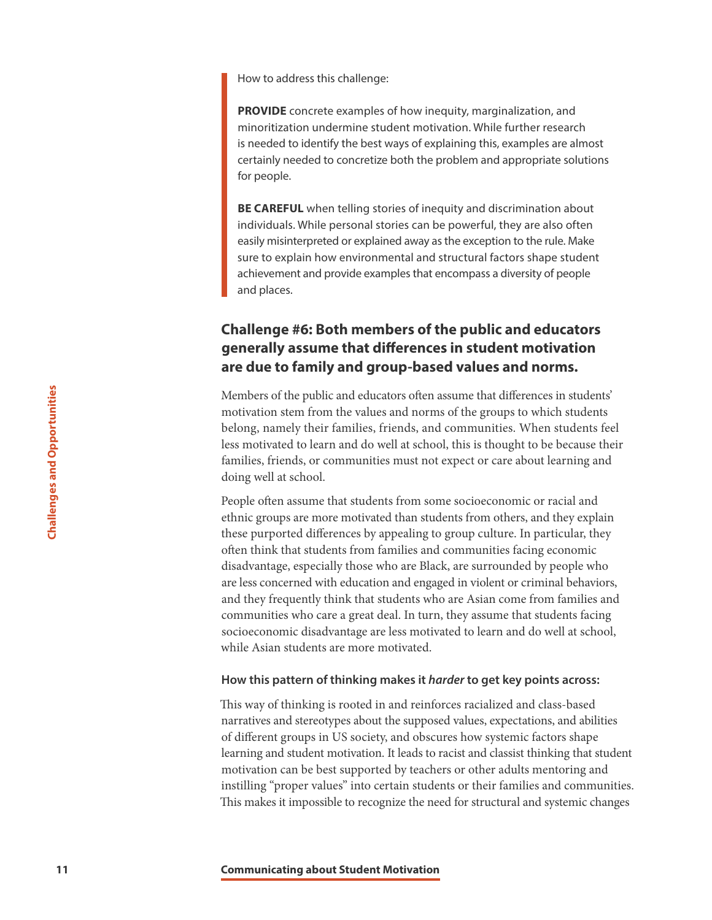How to address this challenge:

**PROVIDE** concrete examples of how inequity, marginalization, and minoritization undermine student motivation. While further research is needed to identify the best ways of explaining this, examples are almost certainly needed to concretize both the problem and appropriate solutions for people.

**BE CAREFUL** when telling stories of inequity and discrimination about individuals. While personal stories can be powerful, they are also often easily misinterpreted or explained away as the exception to the rule. Make sure to explain how environmental and structural factors shape student achievement and provide examples that encompass a diversity of people and places.

# **Challenge #6: Both members of the public and educators generally assume that differences in student motivation are due to family and group-based values and norms.**

Members of the public and educators often assume that differences in students' motivation stem from the values and norms of the groups to which students belong, namely their families, friends, and communities. When students feel less motivated to learn and do well at school, this is thought to be because their families, friends, or communities must not expect or care about learning and doing well at school.

**11 Example 1 Communication** state form the values and norm form the values and norm form the values and norm and do well at schoof families, friends, or communities must not doing well at schoof families, friends, or People often assume that students from some socioeconomic or racial and ethnic groups are more motivated than students from others, and they explain these purported differences by appealing to group culture. In particular, they often think that students from families and communities facing economic disadvantage, especially those who are Black, are surrounded by people who are less concerned with education and engaged in violent or criminal behaviors, and they frequently think that students who are Asian come from families and communities who care a great deal. In turn, they assume that students facing socioeconomic disadvantage are less motivated to learn and do well at school, while Asian students are more motivated.

#### **How this pattern of thinking makes it** *harder* **to get key points across:**

This way of thinking is rooted in and reinforces racialized and class-based narratives and stereotypes about the supposed values, expectations, and abilities of different groups in US society, and obscures how systemic factors shape learning and student motivation. It leads to racist and classist thinking that student motivation can be best supported by teachers or other adults mentoring and instilling "proper values" into certain students or their families and communities. This makes it impossible to recognize the need for structural and systemic changes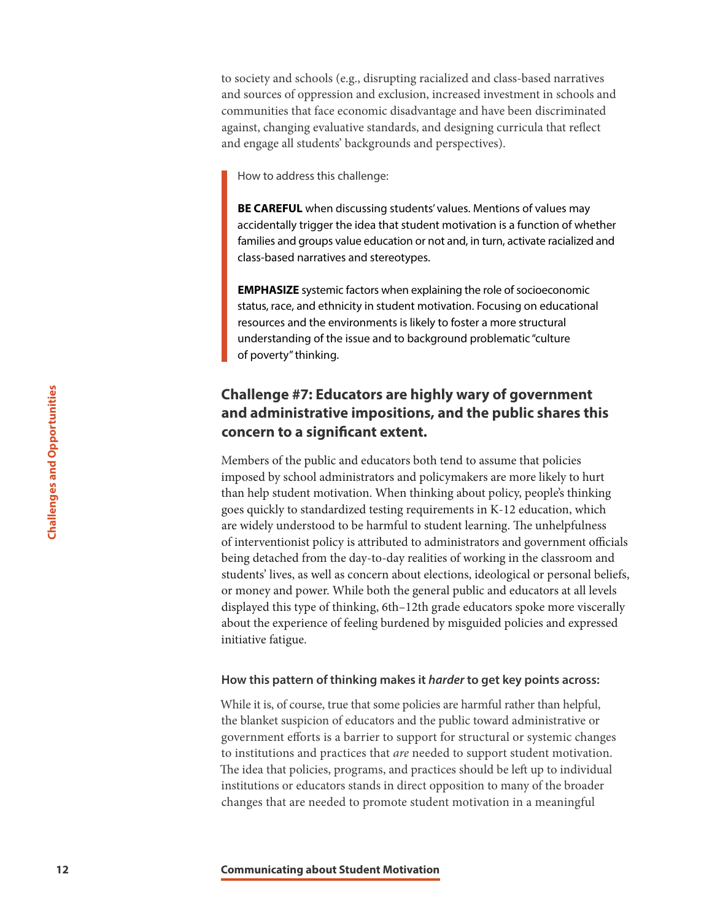to society and schools (e.g., disrupting racialized and class-based narratives and sources of oppression and exclusion, increased investment in schools and communities that face economic disadvantage and have been discriminated against, changing evaluative standards, and designing curricula that reflect and engage all students' backgrounds and perspectives).

How to address this challenge:

**BE CAREFUL** when discussing students' values. Mentions of values may accidentally trigger the idea that student motivation is a function of whether families and groups value education or not and, in turn, activate racialized and class-based narratives and stereotypes.

**EMPHASIZE** systemic factors when explaining the role of socioeconomic status, race, and ethnicity in student motivation. Focusing on educational resources and the environments is likely to foster a more structural understanding of the issue and to background problematic "culture of poverty" thinking.

# **Challenge #7: Educators are highly wary of government and administrative impositions, and the public shares this concern to a significant extent.**

**Challenge #7: Educators are high and administrative impositions, a concern to a significant extent.**<br>
Members of the public and educators both imposed by school administrations and political<br>
than help student motivation. Members of the public and educators both tend to assume that policies imposed by school administrators and policymakers are more likely to hurt than help student motivation. When thinking about policy, people's thinking goes quickly to standardized testing requirements in K-12 education, which are widely understood to be harmful to student learning. The unhelpfulness of interventionist policy is attributed to administrators and government officials being detached from the day-to-day realities of working in the classroom and students' lives, as well as concern about elections, ideological or personal beliefs, or money and power. While both the general public and educators at all levels displayed this type of thinking, 6th–12th grade educators spoke more viscerally about the experience of feeling burdened by misguided policies and expressed initiative fatigue.

#### **How this pattern of thinking makes it** *harder* **to get key points across:**

While it is, of course, true that some policies are harmful rather than helpful, the blanket suspicion of educators and the public toward administrative or government efforts is a barrier to support for structural or systemic changes to institutions and practices that *are* needed to support student motivation. The idea that policies, programs, and practices should be left up to individual institutions or educators stands in direct opposition to many of the broader changes that are needed to promote student motivation in a meaningful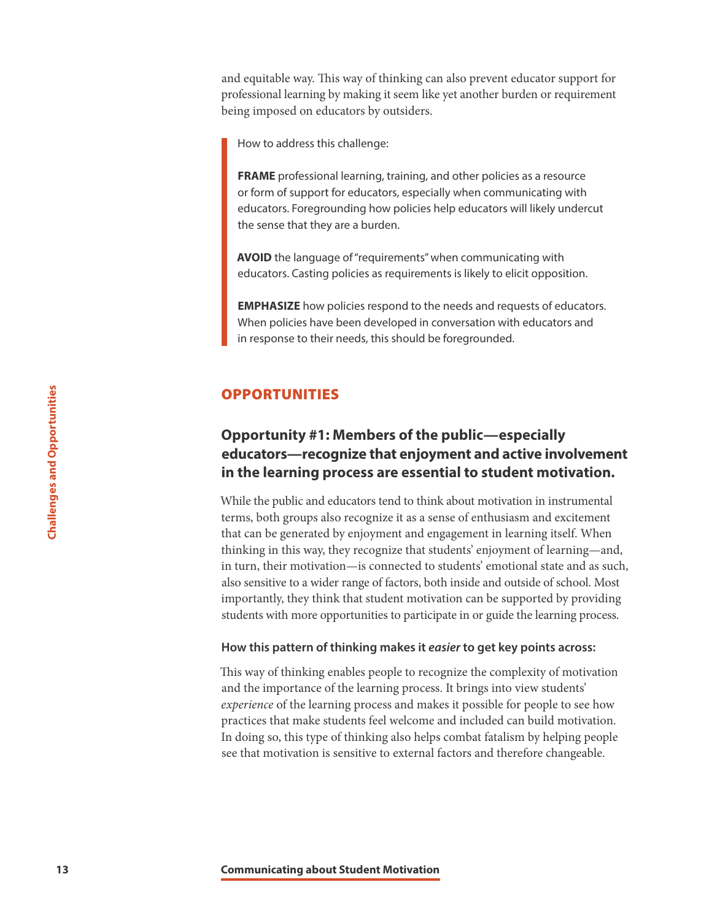and equitable way. This way of thinking can also prevent educator support for professional learning by making it seem like yet another burden or requirement being imposed on educators by outsiders.

How to address this challenge:

**FRAME** professional learning, training, and other policies as a resource or form of support for educators, especially when communicating with educators. Foregrounding how policies help educators will likely undercut the sense that they are a burden.

**AVOID** the language of "requirements" when communicating with educators. Casting policies as requirements is likely to elicit opposition.

**EMPHASIZE** how policies respond to the needs and requests of educators. When policies have been developed in conversation with educators and in response to their needs, this should be foregrounded.

## OPPORTUNITIES

# **Opportunity #1: Members of the public—especially educators—recognize that enjoyment and active involvement in the learning process are essential to student motivation.**

**13 13 Communication 13 Communication Communication Communication Communication Communication Communication Communication Communication Communication Communication Communication Communication** While the public and educators tend to think about motivation in instrumental terms, both groups also recognize it as a sense of enthusiasm and excitement that can be generated by enjoyment and engagement in learning itself. When thinking in this way, they recognize that students' enjoyment of learning—and, in turn, their motivation—is connected to students' emotional state and as such, also sensitive to a wider range of factors, both inside and outside of school. Most importantly, they think that student motivation can be supported by providing students with more opportunities to participate in or guide the learning process.

#### **How this pattern of thinking makes it** *easier* **to get key points across:**

This way of thinking enables people to recognize the complexity of motivation and the importance of the learning process. It brings into view students' *experience* of the learning process and makes it possible for people to see how practices that make students feel welcome and included can build motivation. In doing so, this type of thinking also helps combat fatalism by helping people see that motivation is sensitive to external factors and therefore changeable.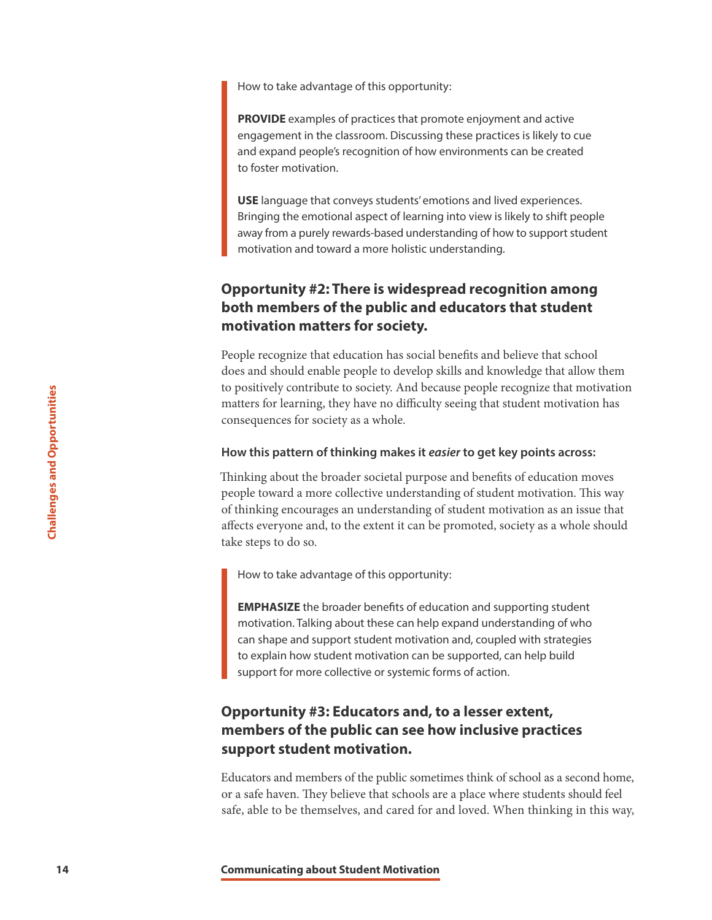How to take advantage of this opportunity:

**PROVIDE** examples of practices that promote enjoyment and active engagement in the classroom. Discussing these practices is likely to cue and expand people's recognition of how environments can be created to foster motivation.

**USE** language that conveys students' emotions and lived experiences. Bringing the emotional aspect of learning into view is likely to shift people away from a purely rewards-based understanding of how to support student motivation and toward a more holistic understanding.

# **Opportunity #2: There is widespread recognition among both members of the public and educators that student motivation matters for society.**

People recognize that education has social benefits and believe that school does and should enable people to develop skills and knowledge that allow them to positively contribute to society. And because people recognize that motivation matters for learning, they have no difficulty seeing that student motivation has consequences for society as a whole.

#### **How this pattern of thinking makes it** *easier* **to get key points across:**

**14 Example 14 Considers and Student Motivation Student Motivation**<br> **14 Consequences** for society as a whole.<br> **14 How this pattern of thinking makes it eq. (Thinking about the broader societal purpose prople towa** Thinking about the broader societal purpose and benefits of education moves people toward a more collective understanding of student motivation. This way of thinking encourages an understanding of student motivation as an issue that affects everyone and, to the extent it can be promoted, society as a whole should take steps to do so.

How to take advantage of this opportunity:

**EMPHASIZE** the broader benefits of education and supporting student motivation. Talking about these can help expand understanding of who can shape and support student motivation and, coupled with strategies to explain how student motivation can be supported, can help build support for more collective or systemic forms of action.

# **Opportunity #3: Educators and, to a lesser extent, members of the public can see how inclusive practices support student motivation.**

Educators and members of the public sometimes think of school as a second home, or a safe haven. They believe that schools are a place where students should feel safe, able to be themselves, and cared for and loved. When thinking in this way,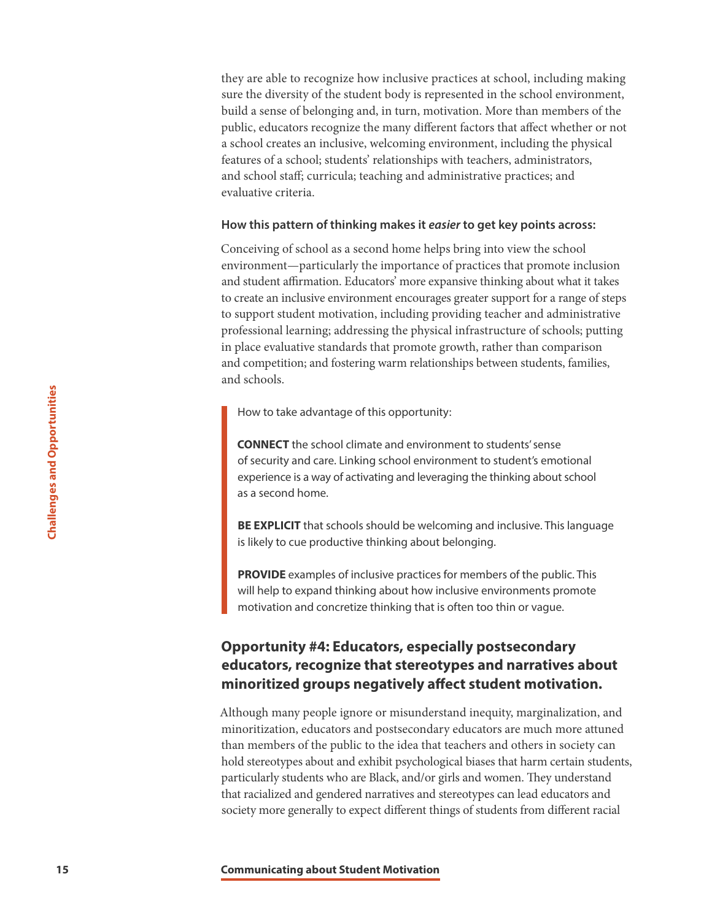they are able to recognize how inclusive practices at school, including making sure the diversity of the student body is represented in the school environment, build a sense of belonging and, in turn, motivation. More than members of the public, educators recognize the many different factors that affect whether or not a school creates an inclusive, welcoming environment, including the physical features of a school; students' relationships with teachers, administrators, and school staff; curricula; teaching and administrative practices; and evaluative criteria.

#### **How this pattern of thinking makes it** *easier* **to get key points across:**

Conceiving of school as a second home helps bring into view the school environment—particularly the importance of practices that promote inclusion and student affirmation. Educators' more expansive thinking about what it takes to create an inclusive environment encourages greater support for a range of steps to support student motivation, including providing teacher and administrative professional learning; addressing the physical infrastructure of schools; putting in place evaluative standards that promote growth, rather than comparison and competition; and fostering warm relationships between students, families, and schools.

How to take advantage of this opportunity:

**CONNECT** the school climate and environment to students' sense of security and care. Linking school environment to student's emotional experience is a way of activating and leveraging the thinking about school as a second home.

**BE EXPLICIT** that schools should be welcoming and inclusive. This language is likely to cue productive thinking about belonging.

**PROVIDE** examples of inclusive practices for members of the public. This will help to expand thinking about how inclusive environments promote motivation and concretize thinking that is often too thin or vague.

# **Opportunity #4: Educators, especially postsecondary educators, recognize that stereotypes and narratives about minoritized groups negatively affect student motivation.**

**15 15 Confidentially about Student Motivation**<br> **15 Confidentially about Student Motivation Confident Motivation Confident Motivation Challenges are sense and bout Student Motivation Challenges are examples** Although many people ignore or misunderstand inequity, marginalization, and minoritization, educators and postsecondary educators are much more attuned than members of the public to the idea that teachers and others in society can hold stereotypes about and exhibit psychological biases that harm certain students, particularly students who are Black, and/or girls and women. They understand that racialized and gendered narratives and stereotypes can lead educators and society more generally to expect different things of students from different racial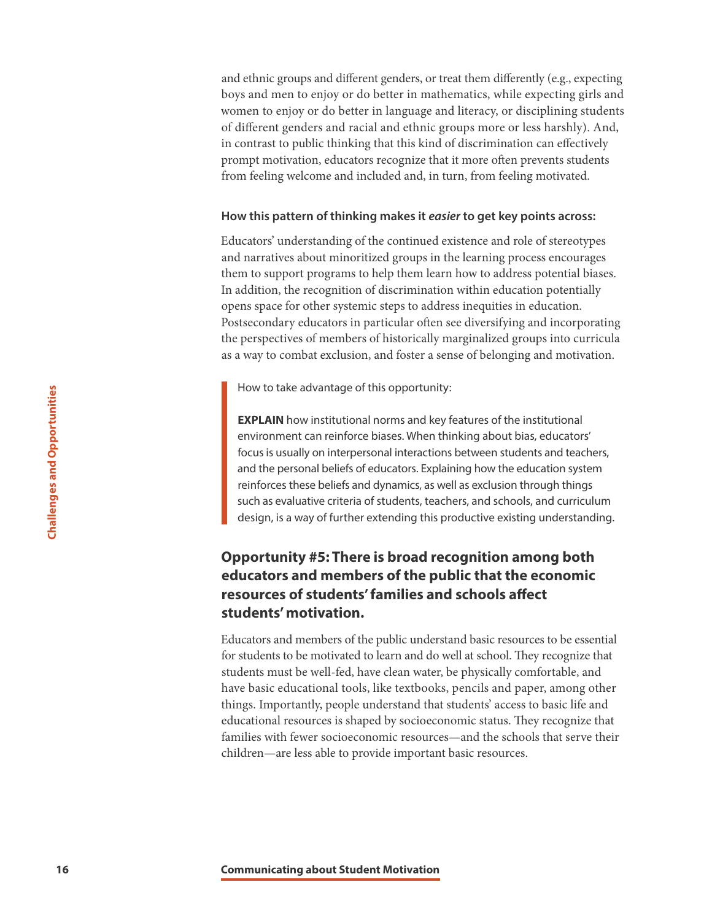and ethnic groups and different genders, or treat them differently (e.g., expecting boys and men to enjoy or do better in mathematics, while expecting girls and women to enjoy or do better in language and literacy, or disciplining students of different genders and racial and ethnic groups more or less harshly). And, in contrast to public thinking that this kind of discrimination can effectively prompt motivation, educators recognize that it more often prevents students from feeling welcome and included and, in turn, from feeling motivated.

#### **How this pattern of thinking makes it** *easier* **to get key points across:**

Educators' understanding of the continued existence and role of stereotypes and narratives about minoritized groups in the learning process encourages them to support programs to help them learn how to address potential biases. In addition, the recognition of discrimination within education potentially opens space for other systemic steps to address inequities in education. Postsecondary educators in particular often see diversifying and incorporating the perspectives of members of historically marginalized groups into curricula as a way to combat exclusion, and foster a sense of belonging and motivation.

How to take advantage of this opportunity:

**EXPLAIN** how institutional norms and key features of the institutional environment can reinforce biases. When thinking about bias, educators' focus is usually on interpersonal interactions between students and teachers, and the personal beliefs of educators. Explaining how the education system reinforces these beliefs and dynamics, as well as exclusion through things such as evaluative criteria of students, teachers, and schools, and curriculum design, is a way of further extending this productive existing understanding.

# **Opportunity #5: There is broad recognition among both educators and members of the public that the economic resources of students' families and schools affect students' motivation.**

**16 EXPLAIN** how institutional norms and key environment can reinforce biases. When force the environment Communication of the present Motion as well about a evaluative criteria of students, teading this are equal to the Educators and members of the public understand basic resources to be essential for students to be motivated to learn and do well at school. They recognize that students must be well-fed, have clean water, be physically comfortable, and have basic educational tools, like textbooks, pencils and paper, among other things. Importantly, people understand that students' access to basic life and educational resources is shaped by socioeconomic status. They recognize that families with fewer socioeconomic resources—and the schools that serve their children—are less able to provide important basic resources.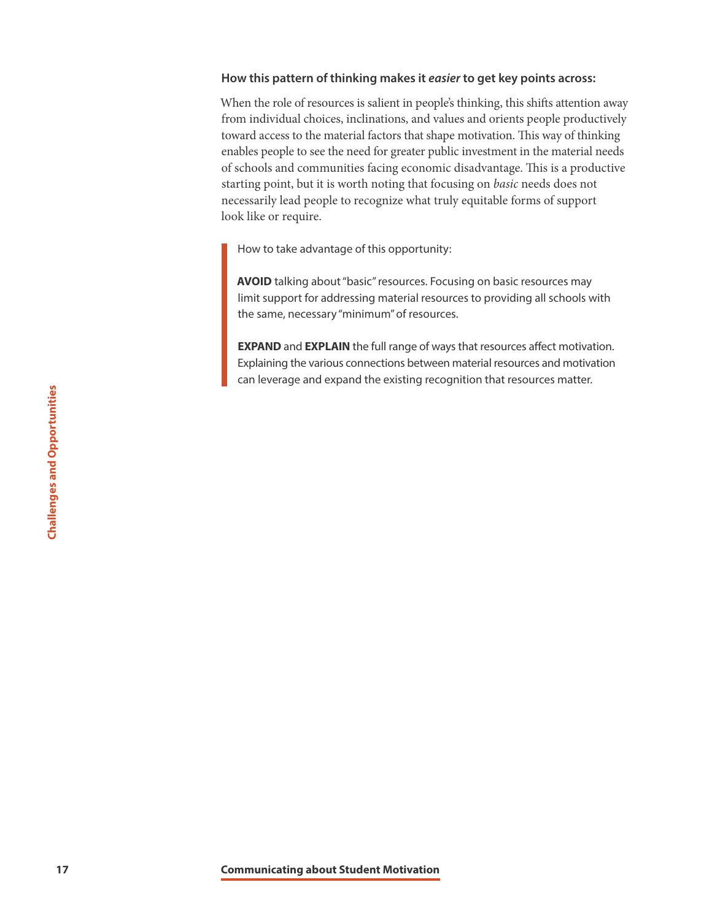#### **How this pattern of thinking makes it** *easier* **to get key points across:**

When the role of resources is salient in people's thinking, this shifts attention away from individual choices, inclinations, and values and orients people productively toward access to the material factors that shape motivation. This way of thinking enables people to see the need for greater public investment in the material needs of schools and communities facing economic disadvantage. This is a productive starting point, but it is worth noting that focusing on *basic* needs does not necessarily lead people to recognize what truly equitable forms of support look like or require.

How to take advantage of this opportunity:

**AVOID** talking about "basic" resources. Focusing on basic resources may limit support for addressing material resources to providing all schools with the same, necessary "minimum" of resources.

**EXPAND** and **EXPLAIN** the full range of ways that resources affect motivation. Explaining the various connections between material resources and motivation can leverage and expand the existing recognition that resources matter.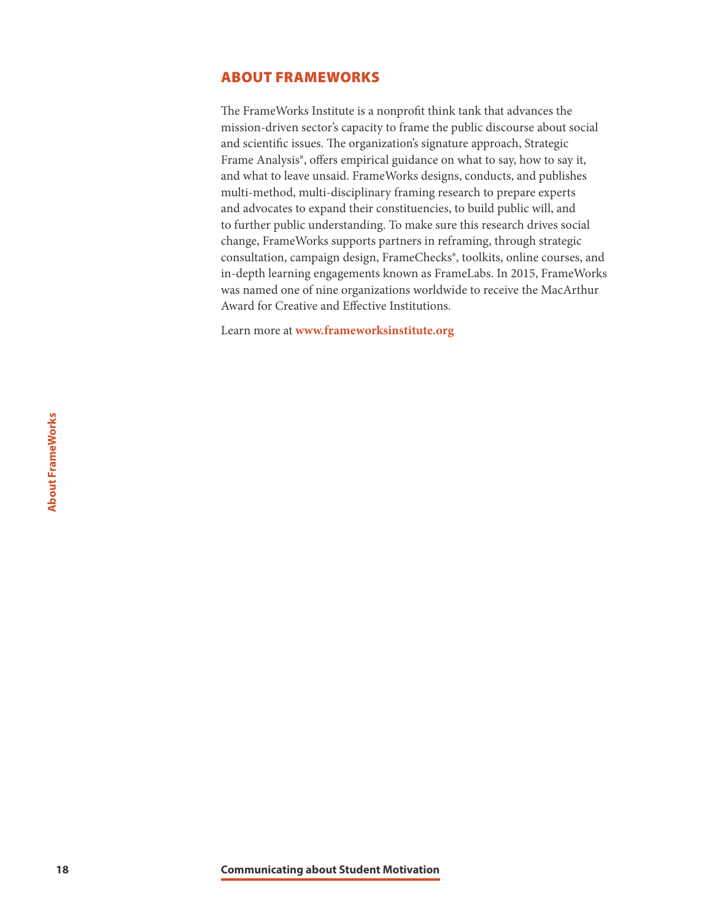## <span id="page-18-0"></span>ABOUT FRAMEWORKS

The FrameWorks Institute is a nonprofit think tank that advances the mission-driven sector's capacity to frame the public discourse about social and scientific issues. The organization's signature approach, Strategic Frame Analysis®, offers empirical guidance on what to say, how to say it, and what to leave unsaid. FrameWorks designs, conducts, and publishes multi-method, multi-disciplinary framing research to prepare experts and advocates to expand their constituencies, to build public will, and to further public understanding. To make sure this research drives social change, FrameWorks supports partners in reframing, through strategic consultation, campaign design, FrameChecks®, toolkits, online courses, and in-depth learning engagements known as FrameLabs. In 2015, FrameWorks was named one of nine organizations worldwide to receive the MacArthur Award for Creative and Effective Institutions.

Learn more at **[www.frameworksinstitute.org](http://www.frameworksinstitute.org/)**